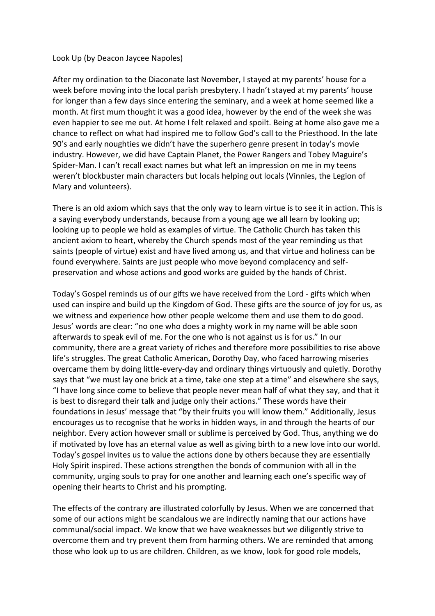## Look Up (by Deacon Jaycee Napoles)

After my ordination to the Diaconate last November, I stayed at my parents' house for a week before moving into the local parish presbytery. I hadn't stayed at my parents' house for longer than a few days since entering the seminary, and a week at home seemed like a month. At first mum thought it was a good idea, however by the end of the week she was even happier to see me out. At home I felt relaxed and spoilt. Being at home also gave me a chance to reflect on what had inspired me to follow God's call to the Priesthood. In the late 90's and early noughties we didn't have the superhero genre present in today's movie industry. However, we did have Captain Planet, the Power Rangers and Tobey Maguire's Spider-Man. I can't recall exact names but what left an impression on me in my teens weren't blockbuster main characters but locals helping out locals (Vinnies, the Legion of Mary and volunteers).

There is an old axiom which says that the only way to learn virtue is to see it in action. This is a saying everybody understands, because from a young age we all learn by looking up; looking up to people we hold as examples of virtue. The Catholic Church has taken this ancient axiom to heart, whereby the Church spends most of the year reminding us that saints (people of virtue) exist and have lived among us, and that virtue and holiness can be found everywhere. Saints are just people who move beyond complacency and selfpreservation and whose actions and good works are guided by the hands of Christ.

Today's Gospel reminds us of our gifts we have received from the Lord - gifts which when used can inspire and build up the Kingdom of God. These gifts are the source of joy for us, as we witness and experience how other people welcome them and use them to do good. Jesus' words are clear: "no one who does a mighty work in my name will be able soon afterwards to speak evil of me. For the one who is not against us is for us." In our community, there are a great variety of riches and therefore more possibilities to rise above life's struggles. The great Catholic American, Dorothy Day, who faced harrowing miseries overcame them by doing little-every-day and ordinary things virtuously and quietly. Dorothy says that "we must lay one brick at a time, take one step at a time" and elsewhere she says, "I have long since come to believe that people never mean half of what they say, and that it is best to disregard their talk and judge only their actions." These words have their foundations in Jesus' message that "by their fruits you will know them." Additionally, Jesus encourages us to recognise that he works in hidden ways, in and through the hearts of our neighbor. Every action however small or sublime is perceived by God. Thus, anything we do if motivated by love has an eternal value as well as giving birth to a new love into our world. Today's gospel invites us to value the actions done by others because they are essentially Holy Spirit inspired. These actions strengthen the bonds of communion with all in the community, urging souls to pray for one another and learning each one's specific way of opening their hearts to Christ and his prompting.

The effects of the contrary are illustrated colorfully by Jesus. When we are concerned that some of our actions might be scandalous we are indirectly naming that our actions have communal/social impact. We know that we have weaknesses but we diligently strive to overcome them and try prevent them from harming others. We are reminded that among those who look up to us are children. Children, as we know, look for good role models,